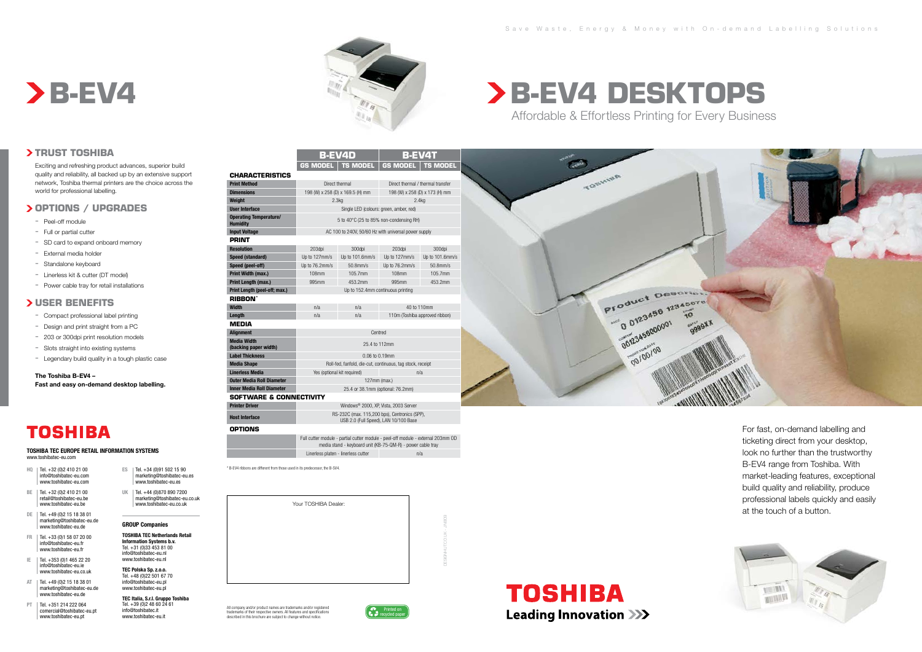Exciting and refreshing product advances, superior build quality and reliability, all backed up by an extensive support network, Toshiba thermal printers are the choice across the world for professional labelling.

- Compact professional label printing
- Design and print straight from a PC
- 203 or 300dpi print resolution models
- Slots straight into existing systems
- Legendary build quality in a tough plastic case

### **OPTIONS / UPGRADES**

- Peel-off module
- Full or partial cutter
- SD card to expand onboard memory
- External media holder
- Standalone keyboard
- Linerless kit & cutter (DT model)
- Power cable tray for retail installations

### **USER BENEFITS**

| The Toshiba B-EV4 - |  |
|---------------------|--|
|                     |  |

**Fast and easy on-demand desktop labelling.**

### **TOSHIBA**

### marketing@toshibatec-eu.co.uk www.toshibatec-eu.co.uk

### **TOSHIBA TEC EUROPE RETAIL INFORMATION SYSTEMS** www.toshibatec-eu.com

All company and/or product names are trademarks and/or registered trademarks of their respective owners. All features and specifications described in this brochure are subject to change without notice.

- **HQ** Tel. +32 (0)2 410 21 00 info@toshibatec-eu.com www.toshibatec-eu.com
- **BE** Tel. +32 (0)2 410 21 00 retail@toshibatec-eu.be www.toshibatec-eu.be
- **DE** Tel. +49 (0)2 15 18 38 01 marketing@toshibatec-eu.de www.toshibatec-eu.de
- **FR** Tel. +33 (0)1 58 07 20 00 info@toshibatec-eu.fr www.toshibatec-eu.fr
- **IE** Tel. +353 (0)1 465 22 20 info@toshibatec-eu.ie www.toshibatec-eu.co.uk
- **AT** Tel. +49 (0)2 15 18 38 01 marketing@toshibatec-eu.de www.toshibatec-eu.de
- **PT** | Tel. +351 214 222 064 comercial@toshibatec-eu.pt www.toshibatec-eu.pt

**ES** Tel. +34 (0)91 502 15 90 marketing@toshibatec-eu.es www.toshibatec-eu.es **UK** Tel. +44 (0)870 890 7200

**GROUP Companies**

### **TOSHIBA TEC Netherlands Retail Information Systems b.v.** Tel. +31 (0)33 453 81 00 info@toshibatec-eu.nl www.toshibatec-eu.nl

**TEC Polska Sp. z.o.o.** Tel. +48 (0)22 501 67 70 info@toshibatec-eu.pl www.toshibatec-eu.pl

**TEC Italia, S.r.l. Gruppo Toshiba** Tel. +39 (0)2 48 60 24 61 info@toshibatec.it www.toshibatec-eu.it



DESIGNHUT.CO.UK - JN809

\* B-EV4 ribbons are different from those used in its predecessor, the B-SV4.

Your TOSHIBA Dealer:





| <b>CHARACTERISTICS</b>                                                |                                                                                        |                 |                                |                                   |  |
|-----------------------------------------------------------------------|----------------------------------------------------------------------------------------|-----------------|--------------------------------|-----------------------------------|--|
| <b>Print Method</b>                                                   |                                                                                        | Direct thermal  |                                | Direct thermal / thermal transfer |  |
| <b>Dimensions</b>                                                     | 198 (W) x 258 (D) x 169.5 (H) mm                                                       |                 | 198 (W) x 258 (D) x 173 (H) mm |                                   |  |
| Weight                                                                |                                                                                        | 2.3kg           |                                | 2.4 <sub>kq</sub>                 |  |
| <b>User Interface</b>                                                 | Single LED (colours: green, amber, red)                                                |                 |                                |                                   |  |
| <b>Operating Temperature/</b><br><b>Humidity</b>                      | 5 to 40°C (25 to 85% non-condensing RH)                                                |                 |                                |                                   |  |
| <b>Input Voltage</b>                                                  | AC 100 to 240V, 50/60 Hz with universal power supply                                   |                 |                                |                                   |  |
| <b>PRINT</b>                                                          |                                                                                        |                 |                                |                                   |  |
| <b>Resolution</b>                                                     | 203dpi                                                                                 | 300dpi          | 203dpi                         | 300dpi                            |  |
| Speed (standard)                                                      | Up to 127mm/s                                                                          | Up to 101.6mm/s | Up to 127mm/s                  | Up to 101.6mm/s                   |  |
| Speed (peel-off)                                                      | Up to 76.2mm/s                                                                         | $50.8$ mm/s     | Up to 76.2mm/s                 | $50.8$ mm/s                       |  |
| Print Width (max.)                                                    | 108mm                                                                                  | 105 7mm         | $108$ mm                       | 105.7mm                           |  |
| Print Length (max.)                                                   | 995mm                                                                                  | 453.2mm         | 995mm                          | 453.2mm                           |  |
| Print Length (peel-off; max.)                                         | Up to 152.4mm continuous printing                                                      |                 |                                |                                   |  |
| <b>RIBBON</b> *                                                       |                                                                                        |                 |                                |                                   |  |
| <b>Width</b>                                                          | n/a                                                                                    | n/a             |                                | 40 to 110mm                       |  |
| Length                                                                | n/a                                                                                    | n/a             |                                | 110m (Toshiba approved ribbon)    |  |
| <b>MEDIA</b>                                                          |                                                                                        |                 |                                |                                   |  |
| <b>Alignment</b>                                                      | Centred                                                                                |                 |                                |                                   |  |
| <b>Media Width</b><br>(backing paper width)                           | 25.4 to 112mm                                                                          |                 |                                |                                   |  |
| <b>Label Thickness</b>                                                | 0.06 to 0.19mm                                                                         |                 |                                |                                   |  |
| <b>Media Shape</b>                                                    | Roll-fed, fanfold, die-cut, continuous, tag stock, receipt                             |                 |                                |                                   |  |
| <b>Linerless Media</b>                                                | Yes (optional kit required)                                                            |                 | n/a                            |                                   |  |
| <b>Outer Media Roll Diameter</b>                                      | 127mm (max.)                                                                           |                 |                                |                                   |  |
| <b>Inner Media Roll Diameter</b><br>25.4 or 38.1mm (optional: 76.2mm) |                                                                                        |                 |                                |                                   |  |
| <b>SOFTWARE &amp; CONNECTIVITY</b>                                    |                                                                                        |                 |                                |                                   |  |
| <b>Printer Driver</b>                                                 | Windows® 2000, XP, Vista, 2003 Server                                                  |                 |                                |                                   |  |
| <b>Host Interface</b>                                                 | RS-232C (max. 115,200 bps), Centronics (SPP),<br>USB 2.0 (Full Speed), LAN 10/100 Base |                 |                                |                                   |  |
| <b>OPTIONS</b>                                                        |                                                                                        |                 |                                |                                   |  |

| . |                                                                                                                                                 |     |  |
|---|-------------------------------------------------------------------------------------------------------------------------------------------------|-----|--|
|   | Full cutter module - partial cutter module - peel-off module - external 203mm OD<br>media stand - keyboard unit (KB-75-QM-R) - power cable tray |     |  |
|   | Linerless platen - linerless cutter                                                                                                             | n/a |  |

## **B-EV4 DESKTOPS** Affordable & Effortless Printing for Every Business

### **TRUST TOSHIBA**



For fast, on-demand labelling and ticketing direct from your desktop, look no further than the trustworthy B-EV4 range from Toshiba. With market-leading features, exceptional build quality and reliability, produce professional labels quickly and easily at the touch of a button.



# **B-EV4**



**B-EV4D B-EV4T**<br> **B-EV4D B-EV4T**